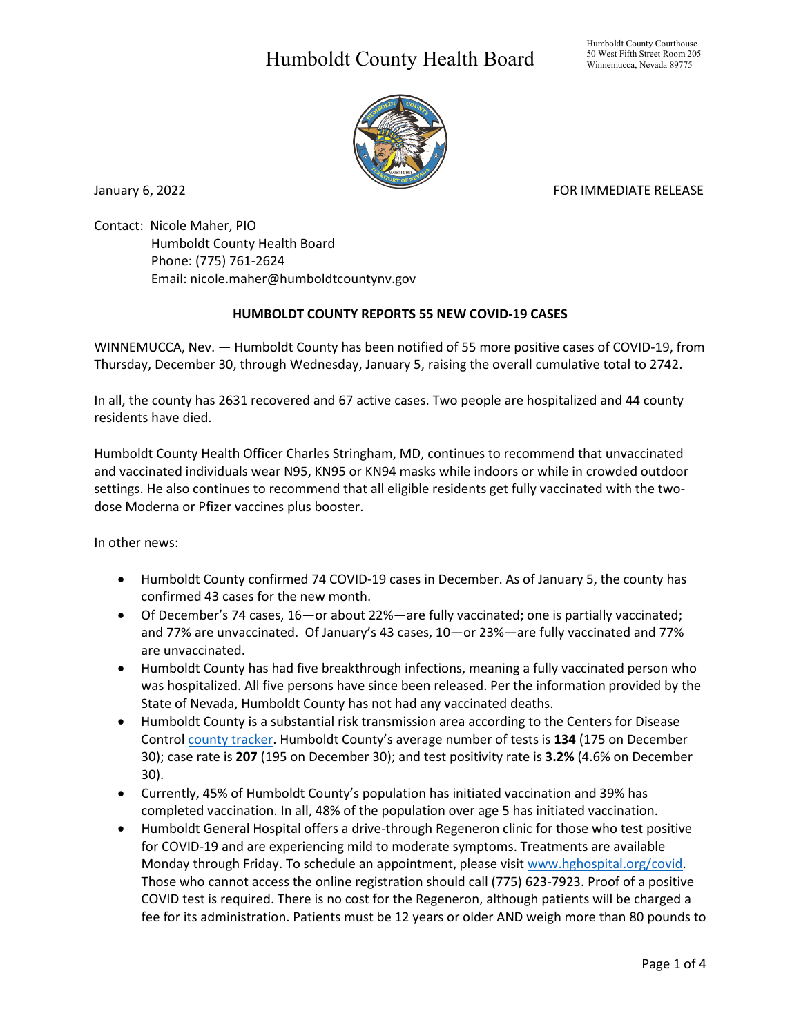## Humboldt County Health Board



January 6, 2022 **FOR IMMEDIATE RELEASE** 

Contact: Nicole Maher, PIO Humboldt County Health Board Phone: (775) 761-2624 Email: nicole.maher@humboldtcountynv.gov

## **HUMBOLDT COUNTY REPORTS 55 NEW COVID-19 CASES**

WINNEMUCCA, Nev. — Humboldt County has been notified of 55 more positive cases of COVID-19, from Thursday, December 30, through Wednesday, January 5, raising the overall cumulative total to 2742.

In all, the county has 2631 recovered and 67 active cases. Two people are hospitalized and 44 county residents have died.

Humboldt County Health Officer Charles Stringham, MD, continues to recommend that unvaccinated and vaccinated individuals wear N95, KN95 or KN94 masks while indoors or while in crowded outdoor settings. He also continues to recommend that all eligible residents get fully vaccinated with the twodose Moderna or Pfizer vaccines plus booster.

In other news:

- Humboldt County confirmed 74 COVID-19 cases in December. As of January 5, the county has confirmed 43 cases for the new month.
- Of December's 74 cases, 16—or about 22%—are fully vaccinated; one is partially vaccinated; and 77% are unvaccinated. Of January's 43 cases, 10—or 23%—are fully vaccinated and 77% are unvaccinated.
- Humboldt County has had five breakthrough infections, meaning a fully vaccinated person who was hospitalized. All five persons have since been released. Per the information provided by the State of Nevada, Humboldt County has not had any vaccinated deaths.
- Humboldt County is a substantial risk transmission area according to the Centers for Disease Control [county tracker.](https://nvhealthresponse.nv.gov/current-status-mitigation-measures/) Humboldt County's average number of tests is **134** (175 on December 30); case rate is **207** (195 on December 30); and test positivity rate is **3.2%** (4.6% on December 30).
- Currently, 45% of Humboldt County's population has initiated vaccination and 39% has completed vaccination. In all, 48% of the population over age 5 has initiated vaccination.
- Humboldt General Hospital offers a drive-through Regeneron clinic for those who test positive for COVID-19 and are experiencing mild to moderate symptoms. Treatments are available Monday through Friday. To schedule an appointment, please visit www.hghospital.org/covid. Those who cannot access the online registration should call (775) 623-7923. Proof of a positive COVID test is required. There is no cost for the Regeneron, although patients will be charged a fee for its administration. Patients must be 12 years or older AND weigh more than 80 pounds to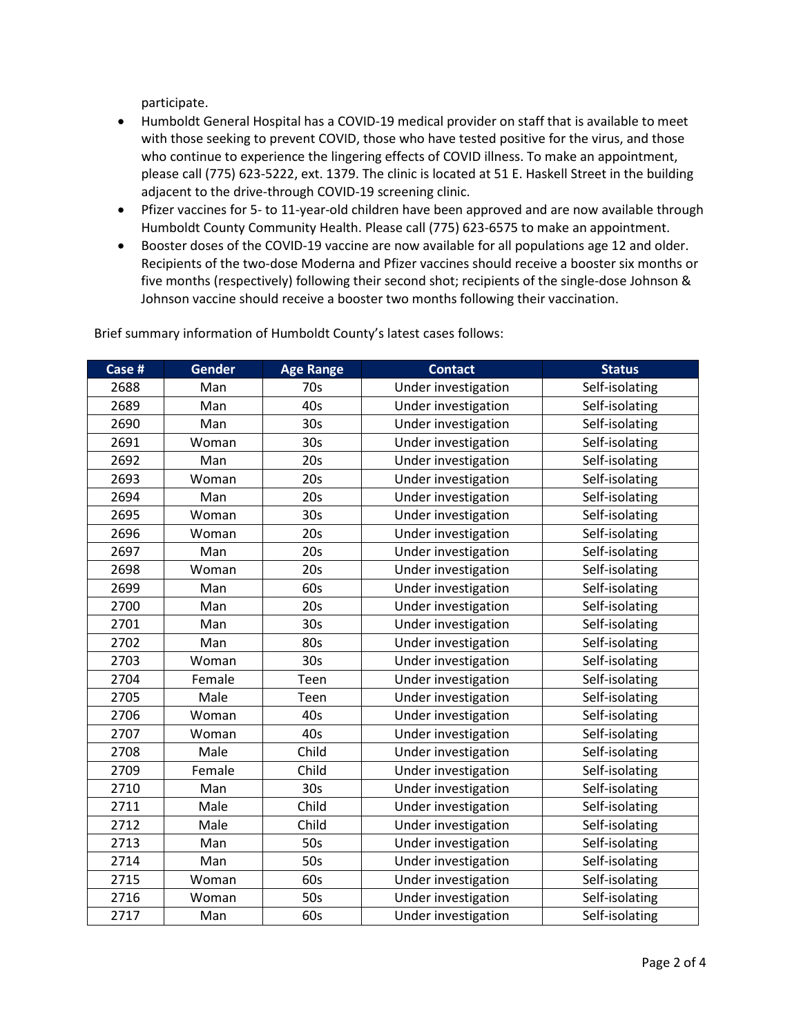participate.

- Humboldt General Hospital has a COVID-19 medical provider on staff that is available to meet with those seeking to prevent COVID, those who have tested positive for the virus, and those who continue to experience the lingering effects of COVID illness. To make an appointment, please call (775) 623-5222, ext. 1379. The clinic is located at 51 E. Haskell Street in the building adjacent to the drive-through COVID-19 screening clinic.
- Pfizer vaccines for 5- to 11-year-old children have been approved and are now available through Humboldt County Community Health. Please call (775) 623-6575 to make an appointment.
- Booster doses of the COVID-19 vaccine are now available for all populations age 12 and older. Recipients of the two-dose Moderna and Pfizer vaccines should receive a booster six months or five months (respectively) following their second shot; recipients of the single-dose Johnson & Johnson vaccine should receive a booster two months following their vaccination.

| Case # | <b>Gender</b> | <b>Age Range</b> | <b>Contact</b>      | <b>Status</b>  |
|--------|---------------|------------------|---------------------|----------------|
| 2688   | Man           | 70s              | Under investigation | Self-isolating |
| 2689   | Man           | 40s              | Under investigation | Self-isolating |
| 2690   | Man           | 30 <sub>s</sub>  | Under investigation | Self-isolating |
| 2691   | Woman         | 30 <sub>s</sub>  | Under investigation | Self-isolating |
| 2692   | Man           | 20s              | Under investigation | Self-isolating |
| 2693   | Woman         | 20s              | Under investigation | Self-isolating |
| 2694   | Man           | 20s              | Under investigation | Self-isolating |
| 2695   | Woman         | 30 <sub>s</sub>  | Under investigation | Self-isolating |
| 2696   | Woman         | 20s              | Under investigation | Self-isolating |
| 2697   | Man           | 20s              | Under investigation | Self-isolating |
| 2698   | Woman         | 20s              | Under investigation | Self-isolating |
| 2699   | Man           | 60s              | Under investigation | Self-isolating |
| 2700   | Man           | 20s              | Under investigation | Self-isolating |
| 2701   | Man           | 30 <sub>s</sub>  | Under investigation | Self-isolating |
| 2702   | Man           | 80s              | Under investigation | Self-isolating |
| 2703   | Woman         | 30 <sub>s</sub>  | Under investigation | Self-isolating |
| 2704   | Female        | Teen             | Under investigation | Self-isolating |
| 2705   | Male          | Teen             | Under investigation | Self-isolating |
| 2706   | Woman         | 40s              | Under investigation | Self-isolating |
| 2707   | Woman         | 40s              | Under investigation | Self-isolating |
| 2708   | Male          | Child            | Under investigation | Self-isolating |
| 2709   | Female        | Child            | Under investigation | Self-isolating |
| 2710   | Man           | 30 <sub>s</sub>  | Under investigation | Self-isolating |
| 2711   | Male          | Child            | Under investigation | Self-isolating |
| 2712   | Male          | Child            | Under investigation | Self-isolating |
| 2713   | Man           | 50s              | Under investigation | Self-isolating |
| 2714   | Man           | 50s              | Under investigation | Self-isolating |
| 2715   | Woman         | 60s              | Under investigation | Self-isolating |
| 2716   | Woman         | 50s              | Under investigation | Self-isolating |
| 2717   | Man           | 60s              | Under investigation | Self-isolating |

Brief summary information of Humboldt County's latest cases follows: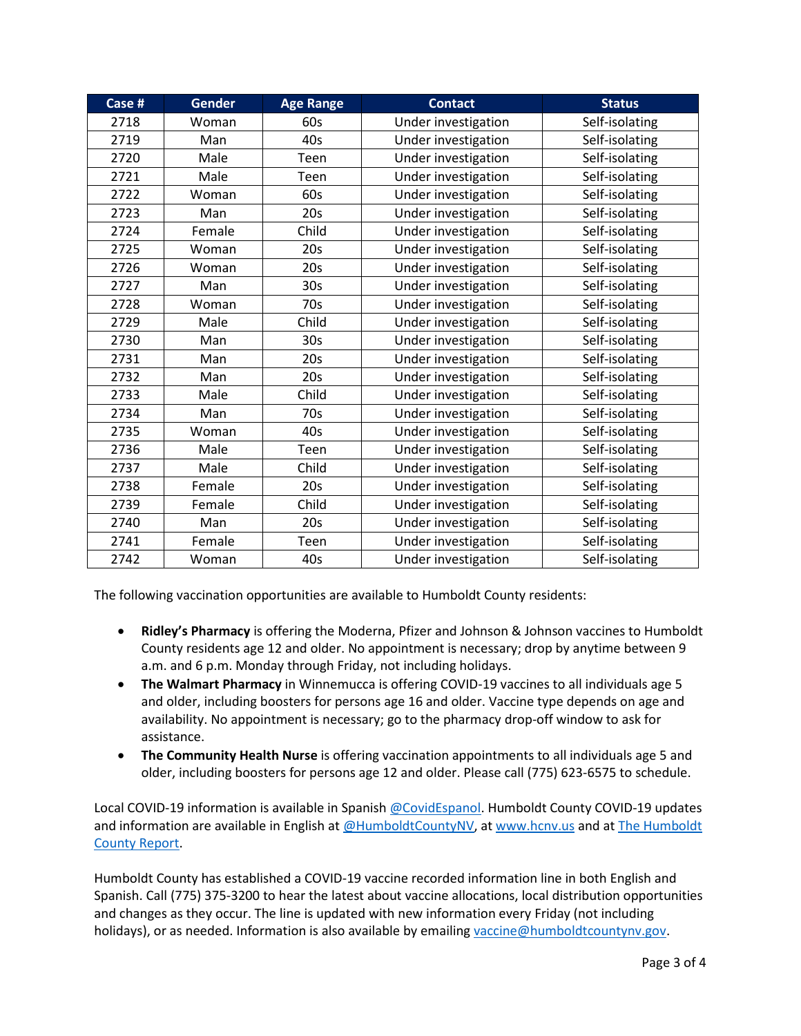| Case # | <b>Gender</b> | <b>Age Range</b> | <b>Contact</b>      | <b>Status</b>  |
|--------|---------------|------------------|---------------------|----------------|
| 2718   | Woman         | 60s              | Under investigation | Self-isolating |
| 2719   | Man           | 40s              | Under investigation | Self-isolating |
| 2720   | Male          | Teen             | Under investigation | Self-isolating |
| 2721   | Male          | Teen             | Under investigation | Self-isolating |
| 2722   | Woman         | 60s              | Under investigation | Self-isolating |
| 2723   | Man           | 20s              | Under investigation | Self-isolating |
| 2724   | Female        | Child            | Under investigation | Self-isolating |
| 2725   | Woman         | 20s              | Under investigation | Self-isolating |
| 2726   | Woman         | 20s              | Under investigation | Self-isolating |
| 2727   | Man           | 30 <sub>s</sub>  | Under investigation | Self-isolating |
| 2728   | Woman         | 70s              | Under investigation | Self-isolating |
| 2729   | Male          | Child            | Under investigation | Self-isolating |
| 2730   | Man           | 30 <sub>s</sub>  | Under investigation | Self-isolating |
| 2731   | Man           | 20s              | Under investigation | Self-isolating |
| 2732   | Man           | 20s              | Under investigation | Self-isolating |
| 2733   | Male          | Child            | Under investigation | Self-isolating |
| 2734   | Man           | 70s              | Under investigation | Self-isolating |
| 2735   | Woman         | 40s              | Under investigation | Self-isolating |
| 2736   | Male          | Teen             | Under investigation | Self-isolating |
| 2737   | Male          | Child            | Under investigation | Self-isolating |
| 2738   | Female        | 20s              | Under investigation | Self-isolating |
| 2739   | Female        | Child            | Under investigation | Self-isolating |
| 2740   | Man           | 20s              | Under investigation | Self-isolating |
| 2741   | Female        | Teen             | Under investigation | Self-isolating |
| 2742   | Woman         | 40s              | Under investigation | Self-isolating |

The following vaccination opportunities are available to Humboldt County residents:

- **Ridley's Pharmacy** is offering the Moderna, Pfizer and Johnson & Johnson vaccines to Humboldt County residents age 12 and older. No appointment is necessary; drop by anytime between 9 a.m. and 6 p.m. Monday through Friday, not including holidays.
- **The Walmart Pharmacy** in Winnemucca is offering COVID-19 vaccines to all individuals age 5 and older, including boosters for persons age 16 and older. Vaccine type depends on age and availability. No appointment is necessary; go to the pharmacy drop-off window to ask for assistance.
- **The Community Health Nurse** is offering vaccination appointments to all individuals age 5 and older, including boosters for persons age 12 and older. Please call (775) 623-6575 to schedule.

Local COVID-19 information is available in Spanish [@CovidEspanol.](https://www.facebook.com/CovidEspanol) Humboldt County COVID-19 updates and information are available in English at [@HumboldtCountyNV,](https://www.facebook.com/humboldtcountynv) at [www.hcnv.us](http://www.hcnv.us/) and at The Humboldt [County Report.](https://spark.adobe.com/page/llU1h2xbgNKeR/)

Humboldt County has established a COVID-19 vaccine recorded information line in both English and Spanish. Call (775) 375-3200 to hear the latest about vaccine allocations, local distribution opportunities and changes as they occur. The line is updated with new information every Friday (not including holidays), or as needed. Information is also available by emailing [vaccine@humboldtcountynv.gov.](mailto:vaccine@humboldtcountynv.gov)